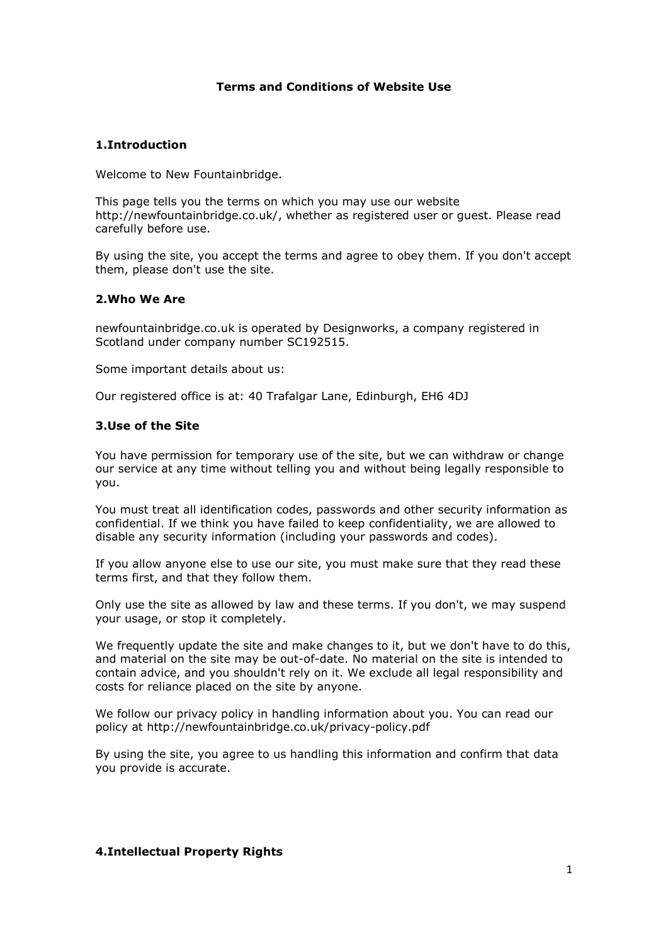# **Terms and Conditions of Website Use**

# **1.Introduction**

Welcome to New Fountainbridge.

This page tells you the terms on which you may use our website http://newfountainbridge.co.uk/, whether as registered user or guest. Please read carefully before use.

By using the site, you accept the terms and agree to obey them. If you don't accept them, please don't use the site.

### **2.Who We Are**

newfountainbridge.co.uk is operated by Designworks, a company registered in Scotland under company number SC192515.

Some important details about us:

Our registered office is at: 40 Trafalgar Lane, Edinburgh, EH6 4DJ

### **3.Use of the Site**

You have permission for temporary use of the site, but we can withdraw or change our service at any time without telling you and without being legally responsible to you.

You must treat all identification codes, passwords and other security information as confidential. If we think you have failed to keep confidentiality, we are allowed to disable any security information (including your passwords and codes).

If you allow anyone else to use our site, you must make sure that they read these terms first, and that they follow them.

Only use the site as allowed by law and these terms. If you don't, we may suspend your usage, or stop it completely.

We frequently update the site and make changes to it, but we don't have to do this, and material on the site may be out-of-date. No material on the site is intended to contain advice, and you shouldn't rely on it. We exclude all legal responsibility and costs for reliance placed on the site by anyone.

We follow our privacy policy in handling information about you. You can read our policy at http://newfountainbridge.co.uk/privacy-policy.pdf

By using the site, you agree to us handling this information and confirm that data you provide is accurate.

#### **4.Intellectual Property Rights**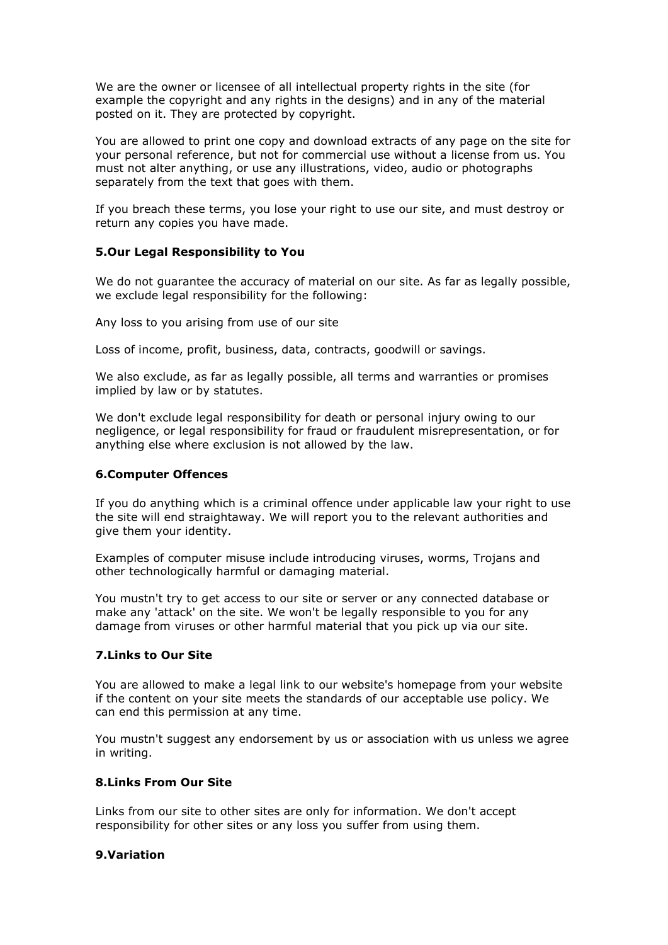We are the owner or licensee of all intellectual property rights in the site (for example the copyright and any rights in the designs) and in any of the material posted on it. They are protected by copyright.

You are allowed to print one copy and download extracts of any page on the site for your personal reference, but not for commercial use without a license from us. You must not alter anything, or use any illustrations, video, audio or photographs separately from the text that goes with them.

If you breach these terms, you lose your right to use our site, and must destroy or return any copies you have made.

# **5.Our Legal Responsibility to You**

We do not guarantee the accuracy of material on our site. As far as legally possible, we exclude legal responsibility for the following:

Any loss to you arising from use of our site

Loss of income, profit, business, data, contracts, goodwill or savings.

We also exclude, as far as legally possible, all terms and warranties or promises implied by law or by statutes.

We don't exclude legal responsibility for death or personal injury owing to our negligence, or legal responsibility for fraud or fraudulent misrepresentation, or for anything else where exclusion is not allowed by the law.

### **6.Computer Offences**

If you do anything which is a criminal offence under applicable law your right to use the site will end straightaway. We will report you to the relevant authorities and give them your identity.

Examples of computer misuse include introducing viruses, worms, Trojans and other technologically harmful or damaging material.

You mustn't try to get access to our site or server or any connected database or make any 'attack' on the site. We won't be legally responsible to you for any damage from viruses or other harmful material that you pick up via our site.

### **7.Links to Our Site**

You are allowed to make a legal link to our website's homepage from your website if the content on your site meets the standards of our acceptable use policy. We can end this permission at any time.

You mustn't suggest any endorsement by us or association with us unless we agree in writing.

# **8.Links From Our Site**

Links from our site to other sites are only for information. We don't accept responsibility for other sites or any loss you suffer from using them.

### **9.Variation**